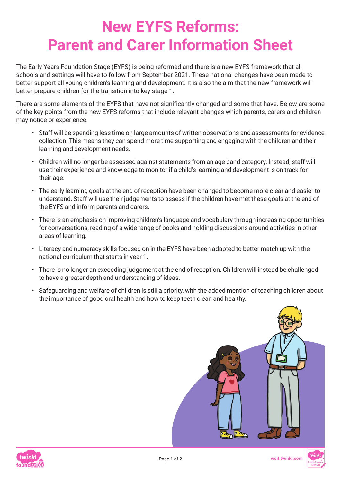## **New EYFS Reforms: Parent and Carer Information Sheet**

The Early Years Foundation Stage (EYFS) is being reformed and there is a new EYFS framework that all schools and settings will have to follow from September 2021. These national changes have been made to better support all young children's learning and development. It is also the aim that the new framework will better prepare children for the transition into key stage 1.

There are some elements of the EYFS that have not significantly changed and some that have. Below are some of the key points from the new EYFS reforms that include relevant changes which parents, carers and children may notice or experience.

- Staff will be spending less time on large amounts of written observations and assessments for evidence collection. This means they can spend more time supporting and engaging with the children and their learning and development needs.
- Children will no longer be assessed against statements from an age band category. Instead, staff will use their experience and knowledge to monitor if a child's learning and development is on track for their age.
- The early learning goals at the end of reception have been changed to become more clear and easier to understand. Staff will use their judgements to assess if the children have met these goals at the end of the EYFS and inform parents and carers.
- There is an emphasis on improving children's language and vocabulary through increasing opportunities for conversations, reading of a wide range of books and holding discussions around activities in other areas of learning.
- Literacy and numeracy skills focused on in the EYFS have been adapted to better match up with the national curriculum that starts in year 1.
- There is no longer an exceeding judgement at the end of reception. Children will instead be challenged to have a greater depth and understanding of ideas.
- Safeguarding and welfare of children is still a priority, with the added mention of teaching children about the importance of good oral health and how to keep teeth clean and healthy.